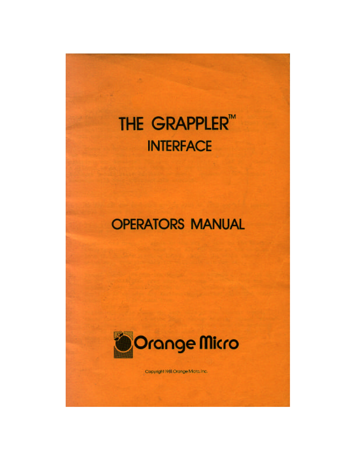# **THE GRAPPLER™ INTERFACE**

# **OPERATORS MANUAL**



Copyright 1981 Crange Micro, Inc.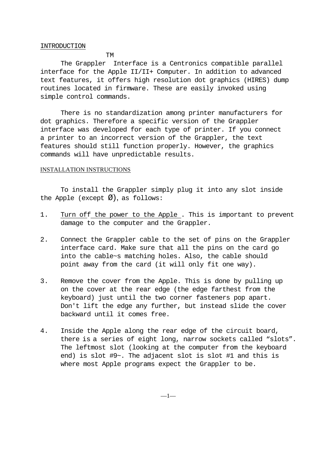### INTRODUCTION

TM

The Grappler Interface is a Centronics compatible parallel interface for the Apple II/II+ Computer. In addition to advanced text features, it offers high resolution dot graphics (HIRES) dump routines located in firmware. These are easily invoked using simple control commands.

There is no standardization among printer manufacturers for dot graphics. Therefore a specific version of the Grappler interface was developed for each type of printer. If you connect a printer to an incorrect version of the Grappler, the text features should still function properly. However, the graphics commands will have unpredictable results.

# INSTALLATION INSTRUCTIONS

To install the Grappler simply plug it into any slot inside the Apple (except  $\varnothing$ ), as follows:

- 1. Turn off the power to the Apple. This is important to prevent damage to the computer and the Grappler.
- 2. Connect the Grappler cable to the set of pins on the Grappler interface card. Make sure that all the pins on the card go into the cable~s matching holes. Also, the cable should point away from the card (it will only fit one way).
- 3. Remove the cover from the Apple. This is done by pulling up on the cover at the rear edge (the edge farthest from the keyboard) just until the two corner fasteners pop apart. Don't lift the edge any further, but instead slide the cover backward until it comes free.
- 4. Inside the Apple along the rear edge of the circuit board, there is a series of eight long, narrow sockets called "slots". The leftmost slot (looking at the computer from the keyboard end) is slot #9~. The adjacent slot is slot #1 and this is where most Apple programs expect the Grappler to be.

 $-1-$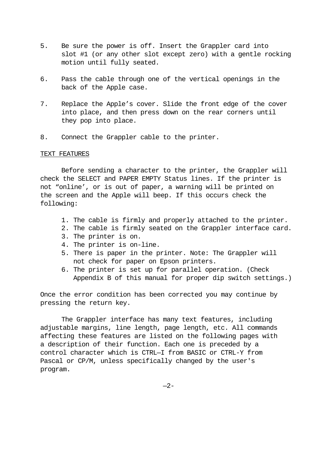- 5. Be sure the power is off. Insert the Grappler card into slot #1 (or any other slot except zero) with a gentle rocking motion until fully seated.
- 6. Pass the cable through one of the vertical openings in the back of the Apple case.
- 7. Replace the Apple's cover. Slide the front edge of the cover into place, and then press down on the rear corners until they pop into place.
- 8. Connect the Grappler cable to the printer.

# TEXT FEATURES

Before sending a character to the printer, the Grappler will check the SELECT and PAPER EMPTY Status lines. If the printer is not "online', or is out of paper, a warning will be printed on the screen and the Apple will beep. If this occurs check the following:

- 1. The cable is firmly and properly attached to the printer.
- 2. The cable is firmly seated on the Grappler interface card.
- 3. The printer is on.
- 4. The printer is on-line.
- 5. There is paper in the printer. Note: The Grappler will not check for paper on Epson printers.
- 6. The printer is set up for parallel operation. (Check Appendix B of this manual for proper dip switch settings.)

Once the error condition has been corrected you may continue by pressing the return key.

The Grappler interface has many text features, including adjustable margins, line length, page length, etc. All commands affecting these features are listed on the following pages with a description of their function. Each one is preceded by a control character which is CTRL—I from BASIC or CTRL-Y from Pascal or CP/M, unless specifically changed by the user's program.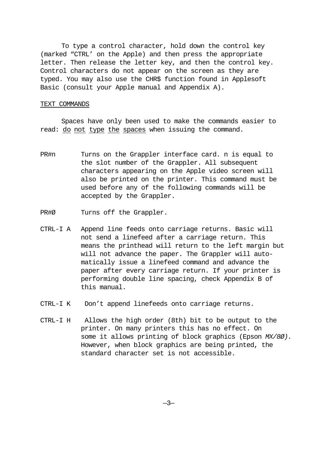To type a control character, hold down the control key (marked "CTRL' on the Apple) and then press the appropriate letter. Then release the letter key, and then the control key. Control characters do not appear on the screen as they are typed. You may also use the CHR\$ function found in Applesoft Basic (consult your Apple manual and Appendix A).

### TEXT COMMANDS

Spaces have only been used to make the commands easier to read: do not type the spaces when issuing the command.

PR#n Turns on the Grappler interface card. n is equal to the slot number of the Grappler. All subsequent characters appearing on the Apple video screen will also be printed on the printer. This command must be used before any of the following commands will be accepted by the Grappler.

PR#Ø Turns off the Grappler.

- CTRL-I A Append line feeds onto carriage returns. Basic will not send a linefeed after a carriage return. This means the printhead will return to the left margin but will not advance the paper. The Grappler will automatically issue a linefeed command and advance the paper after every carriage return. If your printer is performing double line spacing, check Appendix B of this manual.
- CTRL-I K Don't append linefeeds onto carriage returns.
- CTRL-I H Allows the high order (8th) bit to be output to the printer. On many printers this has no effect. On some it allows printing of block graphics (Epson *MX/8Ø).*  However, when block graphics are being printed, the standard character set is not accessible.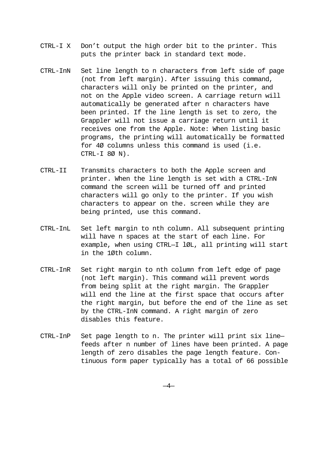- CTRL-I X Don't output the high order bit to the printer. This puts the printer back in standard text mode.
- CTRL-InN Set line length to n characters from left side of page (not from left margin). After issuing this command, characters will only be printed on the printer, and not on the Apple video screen. A carriage return will automatically be generated after n characters have been printed. If the line length is set to zero, the Grappler will not issue a carriage return until it receives one from the Apple. Note: When listing basic programs, the printing will automatically be formatted for 4Ø columns unless this command is used (i.e. CTRL-I 8Ø N).
- CTRL-II Transmits characters to both the Apple screen and printer. When the line length is set with a CTRL-InN command the screen will be turned off and printed characters will go only to the printer. If you wish characters to appear on the. screen while they are being printed, use this command.
- CTRL-InL Set left margin to nth column. All subsequent printing will have n spaces at the start of each line. For example, when using CTRL—I lØL, all printing will start in the 1Øth column.
- CTRL-InR Set right margin to nth column from left edge of page (not left margin). This command will prevent words from being split at the right margin. The Grappler will end the line at the first space that occurs after the right margin, but before the end of the line as set by the CTRL-InN command. A right margin of zero disables this feature.
- CTRL-InP Set page length to n. The printer will print six line feeds after n number of lines have been printed. A page length of zero disables the page length feature. Continuous form paper typically has a total of 66 possible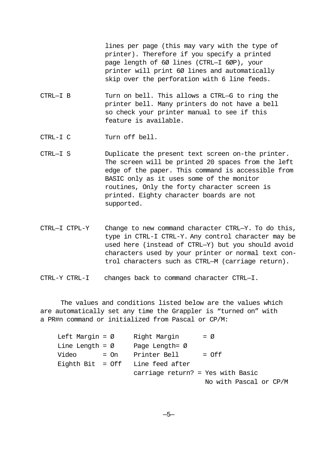lines per page (this may vary with the type of printer). Therefore if you specify a printed page length of 6Ø lines (CTRL—I 6ØP), your printer will print 6Ø lines and automatically skip over the perforation with 6 line feeds.

- CTRL—I B Turn on bell. This allows a CTRL—G to ring the printer bell. Many printers do not have a bell so check your printer manual to see if this feature is available.
- CTRL-I C Turn off bell.
- CTRL—I S Duplicate the present text screen on-the printer. The screen will be printed 20 spaces from the left edge of the paper. This command is accessible from BASIC only as it uses some of the monitor routines, Only the forty character screen is printed. Eighty character boards are not supported.
- CTRL—I CTPL-Y Change to new command character CTRL—Y. To do this, type in CTRL-I CTRL-Y. Any control character may be used here (instead of CTRL—Y) but you should avoid characters used by your printer or normal text control characters such as CTRL—M (carriage return).

CTRL-Y CTRL-I changes back to command character CTRL—I.

The values and conditions listed below are the values which are automatically set any time the Grappler is "turned on" with a PR#n command or initialized from Pascal or CP/M:

| Left Margin = $\emptyset$ |        | Right Margin                       | $= \emptyset$ |                        |  |
|---------------------------|--------|------------------------------------|---------------|------------------------|--|
| Line Length = $\emptyset$ |        | Page Length= Ø                     |               |                        |  |
| Video                     | $=$ On | Printer Bell                       | = Off         |                        |  |
|                           |        | Eighth Bit = $Off$ Line feed after |               |                        |  |
|                           |        | carriage return? = Yes with Basic  |               |                        |  |
|                           |        |                                    |               | No with Pascal or CP/M |  |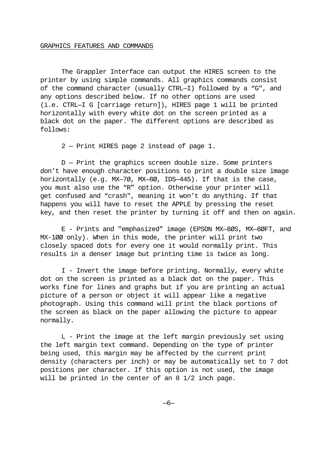#### GRAPHICS FEATURES AND COMMANDS

The Grappler Interface can output the HIRES screen to the printer by using simple commands. All graphics commands consist of the command character (usually CTRL—I) followed by a "G", and any options described below. If no other options are used (i.e. CTRL—I G [carriage return]), HIRES page 1 will be printed horizontally with every white dot on the screen printed as a black dot on the paper. The different options are described as follows:

2 — Print HIRES page 2 instead of page 1.

D — Print the graphics screen double size. Some printers don't have enough character positions to print a double size image horizontally (e.g. MX—7Ø, MX—8Ø, IDS—445). If that is the case, you must also use the "R" option. Otherwise your printer will get confused and "crash", meaning it won't do anything. If that happens you will have to reset the APPLE by pressing the reset key, and then reset the printer by turning it off and then on again.

E - Prints and "emphasized" image (EPSON MX—8ØS, MX—8ØFT, and MX-1ØØ only). When in this mode, the printer will print two closely spaced dots for every one it would normally print. This results in a denser image but printing time is twice as long.

I - Invert the image before printing. Normally, every white dot on the screen is printed as a black dot on the paper. This works fine for lines and graphs but if you are printing an actual picture of a person or object it will appear like a negative photograph. Using this command will print the black portions of the screen as black on the paper allowing the picture to appear normally.

L - Print the image at the left margin previously set using the left margin text command. Depending on the type of printer being used, this margin may be affected by the current print density (characters per inch) or may be automatically set to 7 dot positions per character. If this option is not used, the image will be printed in the center of an 8 1/2 inch page.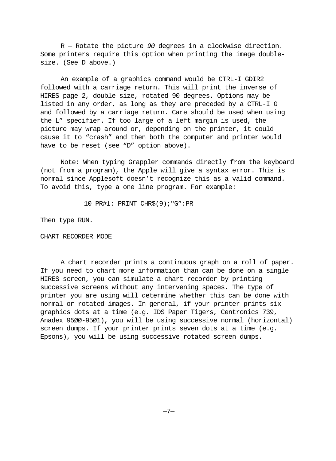R — Rotate the picture *90* degrees in a clockwise direction. Some printers require this option when printing the image doublesize. (See D above.)

An example of a graphics command would be CTRL-I GDIR2 followed with a carriage return. This will print the inverse of HIRES page 2, double size, rotated 90 degrees. Options may be listed in any order, as long as they are preceded by a CTRL-I G and followed by a carriage return. Care should be used when using the L" specifier. If too large of a left margin is used, the picture may wrap around or, depending on the printer, it could cause it to "crash" and then both the computer and printer would have to be reset (see "D" option above).

Note: When typing Grappler commands directly from the keyboard (not from a program), the Apple will give a syntax error. This is normal since Applesoft doesn't recognize this as a valid command. To avoid this, type a one line program. For example:

10 PR#l: PRINT CHR\$(9);"G":PR

Then type RUN.

CHART RECORDER MODE

A chart recorder prints a continuous graph on a roll of paper. If you need to chart more information than can be done on a single HIRES screen, you can simulate a chart recorder by printing successive screens without any intervening spaces. The type of printer you are using will determine whether this can be done with normal or rotated images. In general, if your printer prints six graphics dots at a time (e.g. IDS Paper Tigers, Centronics 739, Anadex 95ØØ-95Ø1), you will be using successive normal (horizontal) screen dumps. If your printer prints seven dots at a time (e.g. Epsons), you will be using successive rotated screen dumps.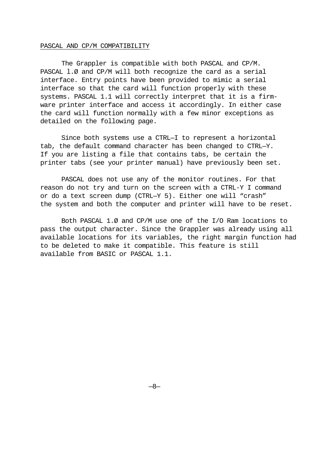#### PASCAL AND CP/M COMPATIBILITY

The Grappler is compatible with both PASCAL and CP/M. PASCAL l.Ø and CP/M will both recognize the card as a serial interface. Entry points have been provided to mimic a serial interface so that the card will function properly with these systems. PASCAL 1.1 will correctly interpret that it is a firmware printer interface and access it accordingly. In either case the card will function normally with a few minor exceptions as detailed on the following page.

Since both systems use a CTRL—I to represent a horizontal tab, the default command character has been changed to CTRL—Y. If you are listing a file that contains tabs, be certain the printer tabs (see your printer manual) have previously been set.

PASCAL does not use any of the monitor routines. For that reason do not try and turn on the screen with a CTRL-Y I command or do a text screen dump (CTRL—Y 5). Either one will "crash" the system and both the computer and printer will have to be reset.

Both PASCAL 1.Ø and CP/M use one of the I/O Ram locations to pass the output character. Since the Grappler was already using all available locations for its variables, the right margin function had to be deleted to make it compatible. This feature is still available from BASIC or PASCAL 1.1.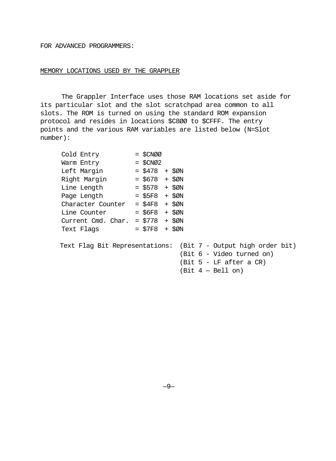FOR ADVANCED PROGRAMMERS:

#### MEMORY LOCATIONS USED BY THE GRAPPLER

The Grappler Interface uses those RAM locations set aside for its particular slot and the slot scratchpad area common to all slots. The ROM is turned on using the standard ROM expansion protocol and resides in locations \$C8ØØ to \$CFFF. The entry points and the various RAM variables are listed below (N=Slot number):

| Cold Entry                                                                                                                                        |  | $=$ \$CNØØ       |  |  |  |  |  |
|---------------------------------------------------------------------------------------------------------------------------------------------------|--|------------------|--|--|--|--|--|
| Warm Entry                                                                                                                                        |  | $=$ \$CNØ2       |  |  |  |  |  |
| Left Margin                                                                                                                                       |  | $=$ \$478 + \$ØN |  |  |  |  |  |
| Right Margin $= $678 + $ØN$                                                                                                                       |  |                  |  |  |  |  |  |
| Line Length $= $578 + $00$                                                                                                                        |  |                  |  |  |  |  |  |
| Page Length $= $5F8 + $ØN$                                                                                                                        |  |                  |  |  |  |  |  |
| Character Counter                                                                                                                                 |  | $=$ \$4F8 + \$ØN |  |  |  |  |  |
| $=$ \$6F8 + \$ØN<br>Line Counter                                                                                                                  |  |                  |  |  |  |  |  |
| Current Cmd. Char. = $$778 + $20N$                                                                                                                |  |                  |  |  |  |  |  |
| Text Flags                                                                                                                                        |  | $=$ \$7F8 + \$ØN |  |  |  |  |  |
| Text Flag Bit Representations: (Bit 7 - Output high order bit)<br>$(Bit 6 - Video turned on)$<br>$(Bit 5 - LF after a CR)$<br>$(Bit 4 - Bell on)$ |  |                  |  |  |  |  |  |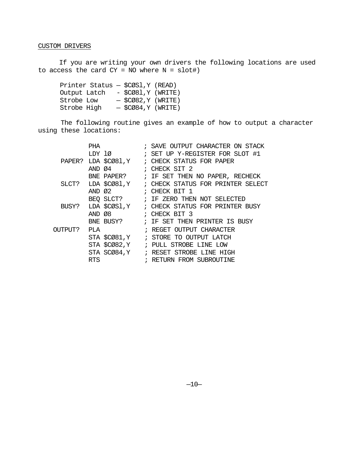# CUSTOM DRIVERS

If you are writing your own drivers the following locations are used to access the card  $CY = NO$  where  $N =$  slot#)

Printer Status — \$CØSl,Y (READ) Output Latch - \$CØ8l,Y (WRITE) Strobe Low — \$CØ82,Y (WRITE) Strobe High — \$CØ84,Y (WRITE)

The following routine gives an example of how to output a character using these locations:

|         | PHA                 | ; SAVE OUTPUT CHARACTER ON STACK                   |
|---------|---------------------|----------------------------------------------------|
|         | LDY 10              | ; SET UP Y-REGISTER FOR SLOT #1                    |
|         |                     | PAPER? LDA \$CØ81, Y ; CHECK STATUS FOR PAPER      |
|         | $AND \varnothing 4$ | ; CHECK SIT 2                                      |
|         | BNE PAPER?          | ; IF SET THEN NO PAPER, RECHECK                    |
|         | SLCT? LDA \$CØ81,Y  | ; CHECK STATUS FOR PRINTER SELECT                  |
|         | $AND$ $Q2$          | ; CHECK BIT 1                                      |
|         |                     | BEO SLCT? : IF ZERO THEN NOT SELECTED              |
|         |                     | BUSY? LDA \$CØS1.Y ; CHECK STATUS FOR PRINTER BUSY |
|         | AND 08              | ; CHECK BIT 3                                      |
|         |                     | BNE BUSY? : IF SET THEN PRINTER IS BUSY            |
| OUTPUT? | PLA                 | ; REGET OUTPUT CHARACTER                           |
|         | STA \$CØ81,Y        | ; STORE TO OUTPUT LATCH                            |
|         |                     | STA \$CØ82, Y ; PULL STROBE LINE LOW               |
|         | STA SCØ84.Y         | ; RESET STROBE LINE HIGH                           |
|         | <b>RTS</b>          | ; RETURN FROM SUBROUTINE                           |
|         |                     |                                                    |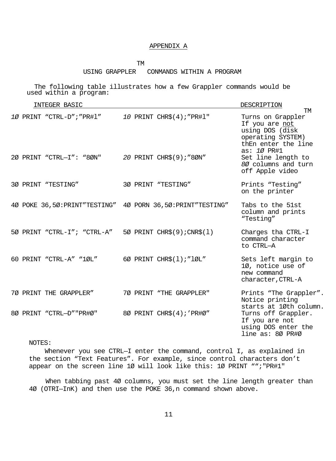# APPENDIX A

#### TM

## USING GRAPPLER CONMANDS WITHIN A PROGRAM

The following table illustrates how a few Grappler commands would be used within a program:

|  | INTEGER BASIC                                               |                                                           | DESCRIPTION                                                                                                                                                                             |
|--|-------------------------------------------------------------|-----------------------------------------------------------|-----------------------------------------------------------------------------------------------------------------------------------------------------------------------------------------|
|  | <i>10</i> PRINT "CTRL-D";"PR#1"<br>20 PRINT "CTRL—I": "80N" | 10 PRINT CHR\$(4); "PR#1"<br>20 PRINT CHR\$(9);"8ØN"      | TM<br>Turns on Grappler<br>If you are not<br>using DOS (disk<br>operating SYSTEM)<br>then enter the line<br>as: 10 PR#1<br>Set line length to<br>80 columns and turn<br>off Apple video |
|  | 30 PRINT "TESTING"                                          | 30 PRINT "TESTING"                                        | Prints "Testing"<br>on the printer                                                                                                                                                      |
|  |                                                             | 4Ø POKE 36,5Ø:PRINT"TESTING" 4Ø PORN 36,5Ø:PRINT"TESTING" | Tabs to the 51st<br>column and prints<br>"Testing"                                                                                                                                      |
|  | 50 PRINT "CTRL-I"; "CTRL-A"                                 | 50 PRINT $CHR\$ $(9)$ ; $CRR\$ $(1)$                      | Charges tha CTRL-I<br>command character<br>to CTRL-A                                                                                                                                    |
|  | 60 PRINT "CTRL-A" "1ØL"                                     | 60 PRINT CHR\$ $(1)$ ; "10L"                              | Sets left margin to<br>10, notice use of<br>new command<br>character, CTRL-A                                                                                                            |
|  | 70 PRINT THE GRAPPLER"                                      | 70 PRINT "THE GRAPPLER"                                   | Prints "The Grappler".<br>Notice printing<br>starts at 10th column.                                                                                                                     |
|  | 80 PRINT "CTRL-D" "PR#0"                                    | 80 PRINT CHR\$(4); 'PR#0"                                 | Turns off Grappler.<br>If you are not<br>using DOS enter the<br>line as: 80 PR#0                                                                                                        |

NOTES:

Whenever you see CTRL-I enter the command, control I, as explained in the section "Text Features". For example, since control characters don't appear on the screen line 1Ø will look like this: 1Ø PRINT "";"PR#1"

When tabbing past 4Ø columns, you must set the line length greater than 4Ø (OTRI—InK) and then use the POKE 36,n command shown above.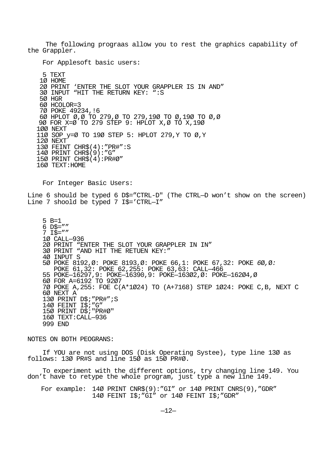The following prograas allow you to rest the graphics capability of the Grappler.

For Applesoft basic users:

5 TEXT 1Ø HOME 2Ø PRINT 'ENTER THE SLOT YOUR GRAPPLER IS IN AND" 3Ø INPUT "HIT THE RETURN KEY: ":S 5Ø HGR 6Ø HCOLOR=3 7Ø POKE 49234,!6 6Ø HPLOT Ø,Ø TO 279,Ø TO 279,19Ø TO Ø,19Ø TO Ø,Ø 9Ø FOR X=Ø TO 279 STEP 9: HPLOT X,Ø TO X,19Ø 1ØØ NEXT 11Ø SOP y=Ø TO 19Ø STEP 5: HPLOT 279,Y TO Ø,Y 12Ø NEXT 13Ø FEINT CHR\$(4):"PR#":S 14Ø PRINT CHR\$(9):"G" 15Ø PRINT CHR\$(4):PR#Ø" 16Ø TEXT:HOME For Integer Basic Users: Line 6 should be typed 6 D\$="CTRL-D" (The CTRL-D won't show on the screen) Line 7 shoold be typed 7 I\$='CTRL-I" 5 B=1  $6$  D\$=""  $7 \text{ I} \dot{\text{S}} =$ " 1Ø CALL—936 2Ø PRINT "ENTER THE SLOT YOUR GRAPPLER IN IN" 3Ø PRINT "AND HIT THE RETUEN KEY:" 4Ø INPUT S 5Ø POKE 8192,Ø: POKE 8193,Ø: POKE 66,1: POKE 67,32: POKE *6*Ø*,*Ø*:* POKE 61,32: POKE 62,255: POKE 63,63: CALL—466 55 POKE—16297,9: POKE—16390,9: POKE—163Ø2,Ø: POKE—162Ø4,Ø 6Ø FOR A=6192 TO 92Ø7 7Ø POKE A,255: FOE C(A\*1Ø24) TO (A+7168) STEP 1Ø24: POKE C,B, NEXT C 6Ø NEXT A 13Ø PRINT D\$;"PR#";S 14Ø FEINT I\$;"G" 15Ø PRINT D\$;"PR#Ø" 16Ø TEXT:CALL—936 999 END NOTES ON BOTH PEOGRANS:

If YOU are not using DOS (Disk Operating Systee), type line 13Ø as follows: 13Ø PR#S and line 15Ø as 15Ø PR#Ø.

To experiment with the different options, try changing line 149. You don't have to retype the whole program, just type a new line 149.

For example: 14Ø PRINT CNR\$(9):"GI" or 14Ø PRINT CNRS(9),"GDR" 14Ø FEINT I\$;"GI" or 14Ø FEINT I\$;"GDR"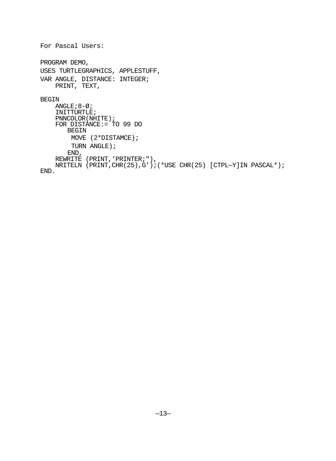```
For Pascal Users:
PROGRAM DEMO,
USES TURTLEGRAPHICS, APPLESTUFF,
VAR ANGLE, DISTANCE: INTEGER;
    PRINT, TEXT,
BEGIN
    ANGLE;8-Ø;
    INITTURTLE;
    PNNCOLOR(NHITE);
    FOR DISTANCE:= TO 99 DO
       BEGIN
         MOVE (2*DISTAMCE);
         TURN ANGLE);
       END,
    REWRITE (PRINT,'PRINTER;"),
   NRITELN (PRINT,CHR(25),G');(*USE CHR(25) [CTPL—Y]IN PASCAL*); 
END.
```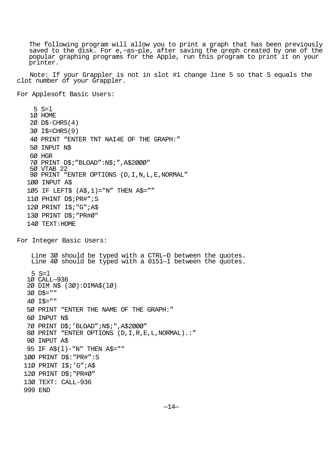The following program will allow you to print a graph that has been previously saved to the disk. For e,~as~ple, after saving the qreph created by one of the popular graphing programs for the Apple, run this program to print it on your printer.

Note: If your Grappler is not in slot #1 change line 5 so that S equals the clot number of your Grappler.

For Applesoft Basic Users:

```
 5 S=l
   1Ø HOME
   2Ø D$-CHRS(4)
   3Ø I$=CHRS(9)
   4Ø PRINT "ENTER TNT NAI4E OF THE GRAPH:"
   5Ø INPUT N$
   6Ø HGR
   7Ø PRINT D$;"BLOAD":N$;",A$2ØØØ"
   5Ø VTAB 22
   9Ø PRINT "ENTER OPTIONS (D,I,N,L,E,NORMAL"
  1ØØ INPUT A$
  1Ø5 IF LEFT$ (A$,1)="N" THEN A$=""
  11Ø PHINT D$;PR#";S
  12Ø PRINT I$;"G";A$
  13Ø PRINT D$;"PR#Ø"
  14Ø TEXT:HOME
For Integer Basic Users:
    Line 3Ø should be typed with a CTRL—D between the quotes.
   Line 4Ø should be typed with a 0151—I between the quotes.
    5 S=l
  1Ø CALL—936
  2Ø DIM N$ (3Ø):DIMA$(lØ)
  3Ø D$=""
  4Ø I$=""
  5Ø PRINT "ENTER THE NAME OF THE GRAPH:"
  6Ø INPUT N$
  7Ø PRINT D$;'BLOAD";N$;",A$2ØØØ"
  8Ø PRINT "ENTER OPTIONS (D,I,R,E,L,NORMAL).:"
  9Ø INPUT A$
  95 IF A$(l)-"N" THEN A$=""
  1ØØ PRINT D$:"PR#":S
  11Ø PRINT I$;'G";A$
  12Ø PRINT D$;"PR#Ø"
  13Ø TEXT: CALL-936 
  999 END
```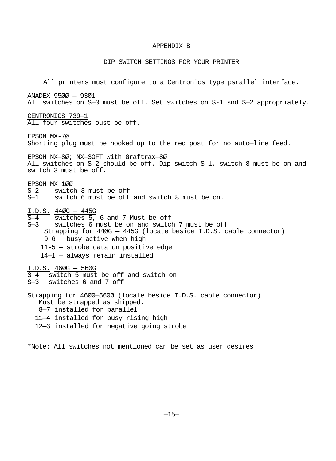#### APPENDIX B

# DIP SWITCH SETTINGS FOR YOUR PRINTER

All printers must configure to a Centronics type psrallel interface. ANADEX 95ØØ — 93Ø1 All switches on S—3 must be off. Set switches on S-1 snd S—2 appropriately. CENTRONICS 739—1 All four switches oust be off. EPSON MX-7Ø Shorting plug must be hooked up to the red post for no auto—line feed. EPSON NX—8Ø; NX—SOFT with Graftrax—8Ø All switches on S-2 should be off. Dip switch S-l, switch 8 must be on and switch 3 must be off. EPSON MX-100<br>S-2 switc S-2 switch 3 must be off<br>S-1 switch 6 must be off switch 6 must be off and switch 8 must be on.  $\underline{\text{I.D.S.}}$   $\underline{\text{440G}}$  -  $\underline{\text{445G}}$ <br>S-4 switches 5  $\overline{S-4}$  switches 5, 6 and 7 Must be off<br> $S-3$  switches 6 must be on and switch switches 6 must be on and switch 7 must be off Strapping for 44ØG — 445G (locate beside I.D.S. cable connector) 9-6 - busy active when high 11-5 — strobe data on positive edge 14—1 — always remain installed I.D.S. 46ØG — 56ØG S-4 switch 5 must be off and switch on S—3 switches 6 and 7 off Strapping for 46ØØ—56ØØ (locate beside I.D.S. cable connector) Must be strapped as shipped. 8—7 installed for parallel 11—4 installed for busy rising high 12—3 installed for negative going strobe

\*Note: All switches not mentioned can be set as user desires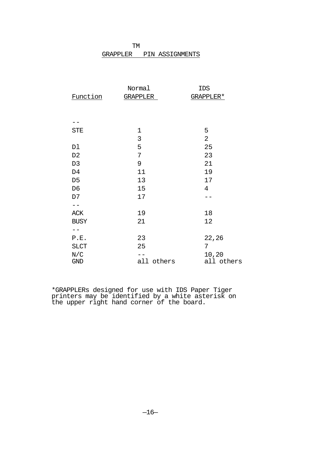| TМ              |                 |
|-----------------|-----------------|
| <b>GRAPPLER</b> | PIN ASSIGNMENTS |

|                | Normal      | <b>IDS</b>     |
|----------------|-------------|----------------|
| Function       | GRAPPLER    | GRAPPLER*      |
|                |             |                |
|                |             |                |
|                |             |                |
| <b>STE</b>     | $\mathbf 1$ | 5              |
|                | 3           | 2              |
| Dl             | 5           | 25             |
| D <sub>2</sub> | 7           | 23             |
| D <sub>3</sub> | 9           | 21             |
| D4             | 11          | 19             |
| D <sub>5</sub> | 13          | 17             |
| D <sub>6</sub> | 15          | $\overline{4}$ |
| D7             | 17          |                |
| --             |             |                |
| ACK            | 19          | 18             |
| <b>BUSY</b>    | 21          | 12             |
| --             |             |                |
| P.E.           | 23          | 22,26          |
| <b>SLCT</b>    | 25          | 7              |
| N/C            |             | 10,20          |
| GND            | all others  | all others     |

\*GRAPPLERs designed for use with IDS Paper Tiger printers may be identified by a white asterisk on the upper right hand corner of the board.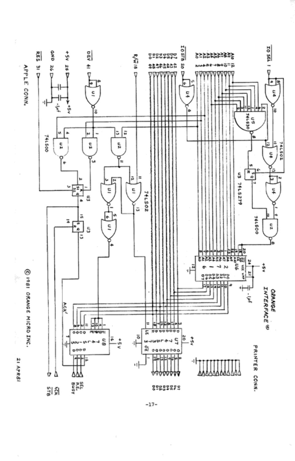

 $-17-$ 

21 APR81